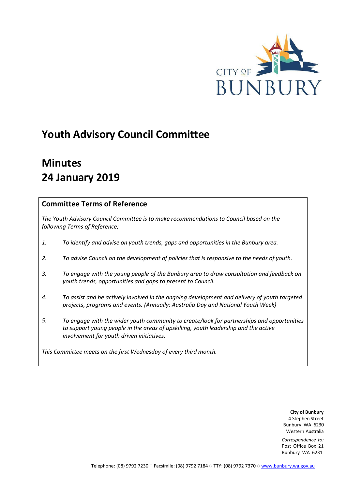

# **Youth Advisory Council Committee**

# **Minutes 24 January 2019**

# **Committee Terms of Reference**

*The Youth Advisory Council Committee is to make recommendations to Council based on the following Terms of Reference;*

- *1. To identify and advise on youth trends, gaps and opportunities in the Bunbury area.*
- *2. To advise Council on the development of policies that is responsive to the needs of youth.*
- *To engage with the young people of the Bunbury area to draw consultation and feedback on youth trends, opportunities and gaps to present to Council. 3.*
- *To assist and be actively involved in the ongoing development and delivery of youth targeted projects, programs and events. (Annually: Australia Day and National Youth Week) 4.*
- *To engage with the wider youth community to create/look for partnerships and opportunities to support young people in the areas of upskilling, youth leadership and the active involvement for youth driven initiatives. 5.*

*This Committee meets on the first Wednesday of every third month.*

**City of Bunbury**  4 Stephen Street Bunbury WA 6230 Western Australia

*Correspondence to:*  Post Office Box 21 Bunbury WA 6231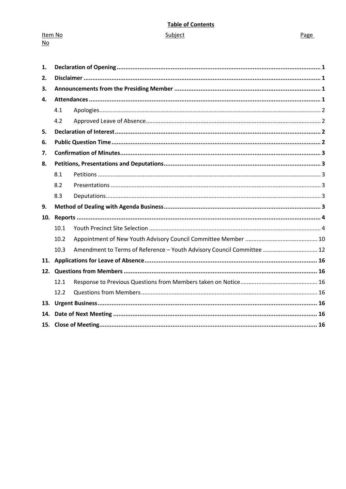# **Table of Contents**

Item No  $\underline{\mathsf{No}}$ 

Page

| 1.  |      |                                                                        |  |
|-----|------|------------------------------------------------------------------------|--|
| 2.  |      |                                                                        |  |
| 3.  |      |                                                                        |  |
| 4.  |      |                                                                        |  |
|     | 4.1  |                                                                        |  |
|     | 4.2  |                                                                        |  |
| 5.  |      |                                                                        |  |
| 6.  |      |                                                                        |  |
| 7.  |      |                                                                        |  |
| 8.  |      |                                                                        |  |
|     | 8.1  |                                                                        |  |
|     | 8.2  |                                                                        |  |
|     | 8.3  |                                                                        |  |
| 9.  |      |                                                                        |  |
| 10. |      |                                                                        |  |
|     | 10.1 |                                                                        |  |
|     | 10.2 |                                                                        |  |
|     | 10.3 | Amendment to Terms of Reference - Youth Advisory Council Committee  12 |  |
|     |      |                                                                        |  |
|     |      |                                                                        |  |
|     | 12.1 |                                                                        |  |
|     | 12.2 |                                                                        |  |
|     |      |                                                                        |  |
| 14. |      |                                                                        |  |
|     |      |                                                                        |  |
|     |      |                                                                        |  |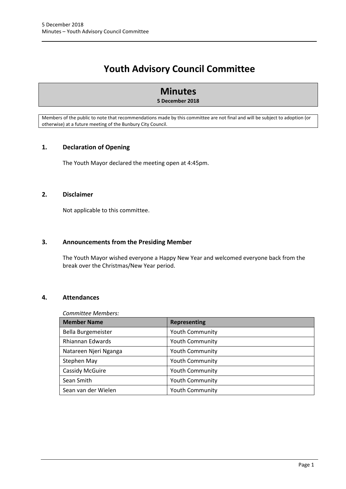# **Youth Advisory Council Committee**

# **Minutes**

# **5 December 2018**

Members of the public to note that recommendations made by this committee are not final and will be subject to adoption (or otherwise) at a future meeting of the Bunbury City Council.

# <span id="page-2-0"></span>**1. Declaration of Opening**

The Youth Mayor declared the meeting open at 4:45pm.

# <span id="page-2-1"></span>**2. Disclaimer**

Not applicable to this committee.

# <span id="page-2-2"></span>**3. Announcements from the Presiding Member**

The Youth Mayor wished everyone a Happy New Year and welcomed everyone back from the break over the Christmas/New Year period.

# <span id="page-2-3"></span>**4. Attendances**

#### *Committee Members:*

| <b>Member Name</b>     | <b>Representing</b>    |
|------------------------|------------------------|
| Bella Burgemeister     | <b>Youth Community</b> |
| Rhiannan Edwards       | <b>Youth Community</b> |
| Natareen Njeri Nganga  | <b>Youth Community</b> |
| Stephen May            | <b>Youth Community</b> |
| <b>Cassidy McGuire</b> | <b>Youth Community</b> |
| Sean Smith             | <b>Youth Community</b> |
| Sean van der Wielen    | <b>Youth Community</b> |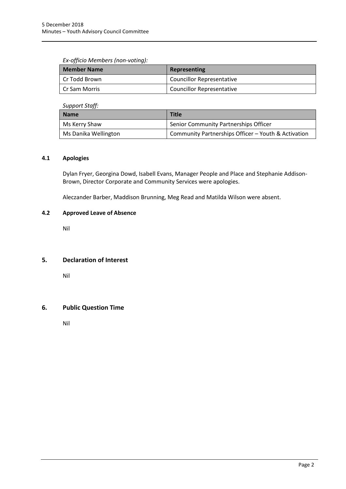# *Ex-officio Members (non-voting):*

| Member Name     | Representing                     |
|-----------------|----------------------------------|
| l Cr Todd Brown | <b>Councillor Representative</b> |
| l Cr Sam Morris | <b>Councillor Representative</b> |

*Support Staff:*

| Name                 | <b>Title</b>                                        |
|----------------------|-----------------------------------------------------|
| Ms Kerry Shaw        | Senior Community Partnerships Officer               |
| Ms Danika Wellington | Community Partnerships Officer - Youth & Activation |

# <span id="page-3-0"></span>**4.1 Apologies**

Dylan Fryer, Georgina Dowd, Isabell Evans, Manager People and Place and Stephanie Addison-Brown, Director Corporate and Community Services were apologies.

Aleczander Barber, Maddison Brunning, Meg Read and Matilda Wilson were absent.

# <span id="page-3-1"></span>**4.2 Approved Leave of Absence**

Nil

# <span id="page-3-2"></span>**5. Declaration of Interest**

Nil

# <span id="page-3-3"></span>**6. Public Question Time**

Nil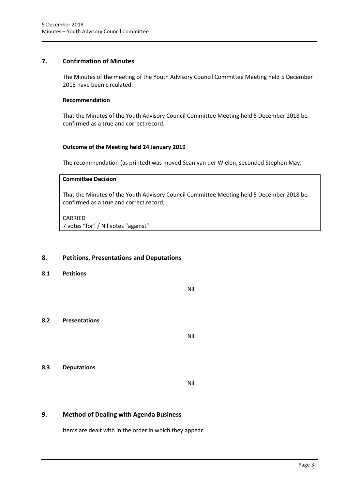# <span id="page-4-0"></span>**7. Confirmation of Minutes**

The Minutes of the meeting of the Youth Advisory Council Committee Meeting held 5 December 2018 have been circulated.

#### **Recommendation**

That the Minutes of the Youth Advisory Council Committee Meeting held 5 December 2018 be confirmed as a true and correct record.

# **Outcome of the Meeting held 24 January 2019**

The recommendation (as printed) was moved Sean van der Wielen, seconded Stephen May.

#### **Committee Decision**

That the Minutes of the Youth Advisory Council Committee Meeting held 5 December 2018 be confirmed as a true and correct record.

#### CARRIED

7 votes "for" / Nil votes "against"

# <span id="page-4-1"></span>**8. Petitions, Presentations and Deputations**

<span id="page-4-2"></span>**8.1 Petitions**

Nil

# <span id="page-4-3"></span>**8.2 Presentations**

Nil

# <span id="page-4-4"></span>**8.3 Deputations**

Nil

# <span id="page-4-5"></span>**9. Method of Dealing with Agenda Business**

Items are dealt with in the order in which they appear.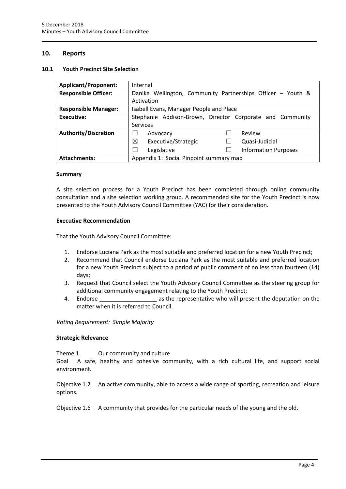# <span id="page-5-0"></span>**10. Reports**

#### <span id="page-5-1"></span>**10.1 Youth Precinct Site Selection**

| <b>Applicant/Proponent:</b> | Internal                                                    |  |  |
|-----------------------------|-------------------------------------------------------------|--|--|
| <b>Responsible Officer:</b> | Danika Wellington, Community Partnerships Officer - Youth & |  |  |
|                             | Activation                                                  |  |  |
| <b>Responsible Manager:</b> | Isabell Evans, Manager People and Place                     |  |  |
| <b>Executive:</b>           | Stephanie Addison-Brown, Director Corporate and Community   |  |  |
|                             | <b>Services</b>                                             |  |  |
| <b>Authority/Discretion</b> | Review<br>Advocacy                                          |  |  |
|                             | ⊠<br>Executive/Strategic<br>Quasi-Judicial                  |  |  |
|                             | Legislative<br><b>Information Purposes</b>                  |  |  |
| <b>Attachments:</b>         | Appendix 1: Social Pinpoint summary map                     |  |  |

#### **Summary**

A site selection process for a Youth Precinct has been completed through online community consultation and a site selection working group. A recommended site for the Youth Precinct is now presented to the Youth Advisory Council Committee (YAC) for their consideration.

#### **Executive Recommendation**

That the Youth Advisory Council Committee:

- 1. Endorse Luciana Park as the most suitable and preferred location for a new Youth Precinct;
- 2. Recommend that Council endorse Luciana Park as the most suitable and preferred location for a new Youth Precinct subject to a period of public comment of no less than fourteen (14) days;
- 3. Request that Council select the Youth Advisory Council Committee as the steering group for additional community engagement relating to the Youth Precinct;
- 4. Endorse **Endorse Endorse Endorse END** as the representative who will present the deputation on the matter when it is referred to Council.

*Voting Requirement: Simple Majority* 

#### **Strategic Relevance**

Theme 1 Our community and culture

Goal A safe, healthy and cohesive community, with a rich cultural life, and support social environment.

Objective 1.2 An active community, able to access a wide range of sporting, recreation and leisure options.

Objective 1.6 A community that provides for the particular needs of the young and the old.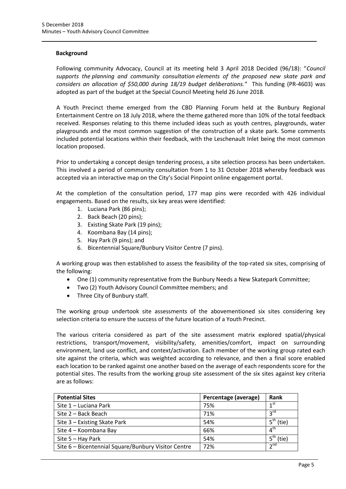#### **Background**

Following community Advocacy, Council at its meeting held 3 April 2018 Decided (96/18): "*Council supports the planning and community consultation elements of the proposed new skate park and considers an allocation of \$50,000 during 18/19 budget deliberations."* This funding (PR-4603) was adopted as part of the budget at the Special Council Meeting held 26 June 2018.

A Youth Precinct theme emerged from the CBD Planning Forum held at the Bunbury Regional Entertainment Centre on 18 July 2018, where the theme gathered more than 10% of the total feedback received. Responses relating to this theme included ideas such as youth centres, playgrounds, water playgrounds and the most common suggestion of the construction of a skate park. Some comments included potential locations within their feedback, with the Leschenault Inlet being the most common location proposed.

Prior to undertaking a concept design tendering process, a site selection process has been undertaken. This involved a period of community consultation from 1 to 31 October 2018 whereby feedback was accepted via an interactive map on the City's Social Pinpoint online engagement portal.

At the completion of the consultation period, 177 map pins were recorded with 426 individual engagements. Based on the results, six key areas were identified:

- 1. Luciana Park (86 pins);
- 2. Back Beach (20 pins);
- 3. Existing Skate Park (19 pins);
- 4. Koombana Bay (14 pins);
- 5. Hay Park (9 pins); and
- 6. Bicentennial Square/Bunbury Visitor Centre (7 pins).

A working group was then established to assess the feasibility of the top-rated six sites, comprising of the following:

- One (1) community representative from the Bunbury Needs a New Skatepark Committee;
- Two (2) Youth Advisory Council Committee members; and
- Three City of Bunbury staff.

The working group undertook site assessments of the abovementioned six sites considering key selection criteria to ensure the success of the future location of a Youth Precinct.

The various criteria considered as part of the site assessment matrix explored spatial/physical restrictions, transport/movement, visibility/safety, amenities/comfort, impact on surrounding environment, land use conflict, and context/activation. Each member of the working group rated each site against the criteria, which was weighted according to relevance, and then a final score enabled each location to be ranked against one another based on the average of each respondents score for the potential sites. The results from the working group site assessment of the six sites against key criteria are as follows:

| <b>Potential Sites</b>                              | Percentage (average) | Rank                     |
|-----------------------------------------------------|----------------------|--------------------------|
| Site 1 - Luciana Park                               | 75%                  | 1 <sup>st</sup>          |
| Site 2 – Back Beach                                 | 71%                  | $2^{\text{rd}}$          |
| Site 3 – Existing Skate Park                        | 54%                  | $\mathbf{r}$<br>(tie)    |
| Site 4 - Koombana Bay                               | 66%                  | $4^{\text{th}}$          |
| Site 5 - Hay Park                                   | 54%                  | Է <sup>tr</sup><br>(tie) |
| Site 6 - Bicentennial Square/Bunbury Visitor Centre | 72%                  | 2 <sup>nd</sup>          |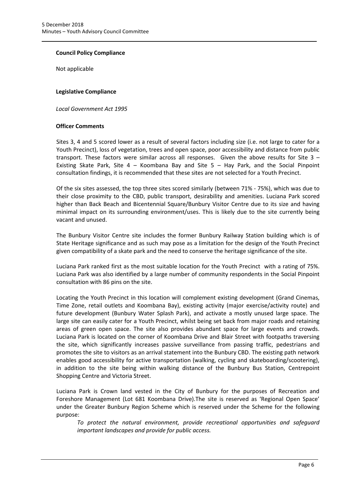# **Council Policy Compliance**

Not applicable

#### **Legislative Compliance**

*Local Government Act 1995* 

# **Officer Comments**

Sites 3, 4 and 5 scored lower as a result of several factors including size (i.e. not large to cater for a Youth Precinct), loss of vegetation, trees and open space, poor accessibility and distance from public transport. These factors were similar across all responses. Given the above results for Site 3 – Existing Skate Park, Site 4 – Koombana Bay and Site 5 – Hay Park, and the Social Pinpoint consultation findings, it is recommended that these sites are not selected for a Youth Precinct.

Of the six sites assessed, the top three sites scored similarly (between 71% - 75%), which was due to their close proximity to the CBD, public transport, desirability and amenities. Luciana Park scored higher than Back Beach and Bicentennial Square/Bunbury Visitor Centre due to its size and having minimal impact on its surrounding environment/uses. This is likely due to the site currently being vacant and unused.

The Bunbury Visitor Centre site includes the former Bunbury Railway Station building which is of State Heritage significance and as such may pose as a limitation for the design of the Youth Precinct given compatibility of a skate park and the need to conserve the heritage significance of the site.

Luciana Park ranked first as the most suitable location for the Youth Precinct with a rating of 75%. Luciana Park was also identified by a large number of community respondents in the Social Pinpoint consultation with 86 pins on the site.

Locating the Youth Precinct in this location will complement existing development (Grand Cinemas, Time Zone, retail outlets and Koombana Bay), existing activity (major exercise/activity route) and future development (Bunbury Water Splash Park), and activate a mostly unused large space. The large site can easily cater for a Youth Precinct, whilst being set back from major roads and retaining areas of green open space. The site also provides abundant space for large events and crowds. Luciana Park is located on the corner of Koombana Drive and Blair Street with footpaths traversing the site, which significantly increases passive surveillance from passing traffic, pedestrians and promotes the site to visitors as an arrival statement into the Bunbury CBD. The existing path network enables good accessibility for active transportation (walking, cycling and skateboarding/scootering), in addition to the site being within walking distance of the Bunbury Bus Station, Centrepoint Shopping Centre and Victoria Street.

Luciana Park is Crown land vested in the City of Bunbury for the purposes of Recreation and Foreshore Management (Lot 681 Koombana Drive).The site is reserved as 'Regional Open Space' under the Greater Bunbury Region Scheme which is reserved under the Scheme for the following purpose:

*To protect the natural environment, provide recreational opportunities and safeguard important landscapes and provide for public access.*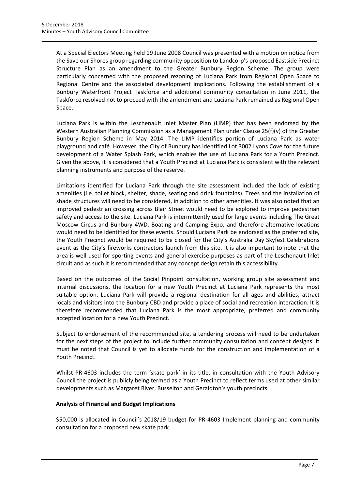At a Special Electors Meeting held 19 June 2008 Council was presented with a motion on notice from the Save our Shores group regarding community opposition to Landcorp's proposed Eastside Precinct Structure Plan as an amendment to the Greater Bunbury Region Scheme. The group were particularly concerned with the proposed rezoning of Luciana Park from Regional Open Space to Regional Centre and the associated development implications. Following the establishment of a Bunbury Waterfront Project Taskforce and additional community consultation in June 2011, the Taskforce resolved not to proceed with the amendment and Luciana Park remained as Regional Open Space.

Luciana Park is within the Leschenault Inlet Master Plan (LIMP) that has been endorsed by the Western Australian Planning Commission as a Management Plan under Clause 25(f)(v) of the Greater Bunbury Region Scheme in May 2014. The LIMP identifies portion of Luciana Park as water playground and café. However, the City of Bunbury has identified Lot 3002 Lyons Cove for the future development of a Water Splash Park, which enables the use of Luciana Park for a Youth Precinct. Given the above, it is considered that a Youth Precinct at Luciana Park is consistent with the relevant planning instruments and purpose of the reserve.

Limitations identified for Luciana Park through the site assessment included the lack of existing amenities (i.e. toilet block, shelter, shade, seating and drink fountains). Trees and the installation of shade structures will need to be considered, in addition to other amenities. It was also noted that an improved pedestrian crossing across Blair Street would need to be explored to improve pedestrian safety and access to the site. Luciana Park is intermittently used for large events including The Great Moscow Circus and Bunbury 4WD, Boating and Camping Expo, and therefore alternative locations would need to be identified for these events. Should Luciana Park be endorsed as the preferred site, the Youth Precinct would be required to be closed for the City's Australia Day Skyfest Celebrations event as the City's fireworks contractors launch from this site. It is also important to note that the area is well used for sporting events and general exercise purposes as part of the Leschenault Inlet circuit and as such it is recommended that any concept design retain this accessibility.

Based on the outcomes of the Social Pinpoint consultation, working group site assessment and internal discussions, the location for a new Youth Precinct at Luciana Park represents the most suitable option. Luciana Park will provide a regional destination for all ages and abilities, attract locals and visitors into the Bunbury CBD and provide a place of social and recreation interaction. It is therefore recommended that Luciana Park is the most appropriate, preferred and community accepted location for a new Youth Precinct.

Subject to endorsement of the recommended site, a tendering process will need to be undertaken for the next steps of the project to include further community consultation and concept designs. It must be noted that Council is yet to allocate funds for the construction and implementation of a Youth Precinct.

Whilst PR-4603 includes the term 'skate park' in its title, in consultation with the Youth Advisory Council the project is publicly being termed as a Youth Precinct to reflect terms used at other similar developments such as Margaret River, Busselton and Geraldton's youth precincts.

# **Analysis of Financial and Budget Implications**

\$50,000 is allocated in Council's 2018/19 budget for PR-4603 Implement planning and community consultation for a proposed new skate park.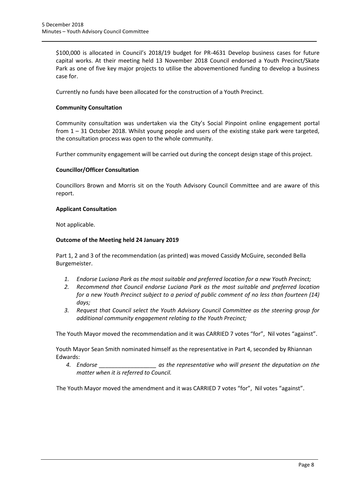\$100,000 is allocated in Council's 2018/19 budget for PR-4631 Develop business cases for future capital works. At their meeting held 13 November 2018 Council endorsed a Youth Precinct/Skate Park as one of five key major projects to utilise the abovementioned funding to develop a business case for.

Currently no funds have been allocated for the construction of a Youth Precinct.

# **Community Consultation**

Community consultation was undertaken via the City's Social Pinpoint online engagement portal from 1 – 31 October 2018. Whilst young people and users of the existing stake park were targeted, the consultation process was open to the whole community.

Further community engagement will be carried out during the concept design stage of this project.

#### **Councillor/Officer Consultation**

Councillors Brown and Morris sit on the Youth Advisory Council Committee and are aware of this report.

#### **Applicant Consultation**

Not applicable.

#### **Outcome of the Meeting held 24 January 2019**

Part 1, 2 and 3 of the recommendation (as printed) was moved Cassidy McGuire, seconded Bella Burgemeister.

- *1. Endorse Luciana Park as the most suitable and preferred location for a new Youth Precinct;*
- *2. Recommend that Council endorse Luciana Park as the most suitable and preferred location for a new Youth Precinct subject to a period of public comment of no less than fourteen (14) days;*
- *3. Request that Council select the Youth Advisory Council Committee as the steering group for additional community engagement relating to the Youth Precinct;*

The Youth Mayor moved the recommendation and it was CARRIED 7 votes "for", Nil votes "against".

Youth Mayor Sean Smith nominated himself as the representative in Part 4, seconded by Rhiannan Edwards:

*4. Endorse \_\_\_\_\_\_\_\_\_\_\_\_\_\_\_\_\_\_ as the representative who will present the deputation on the matter when it is referred to Council.*

The Youth Mayor moved the amendment and it was CARRIED 7 votes "for", Nil votes "against".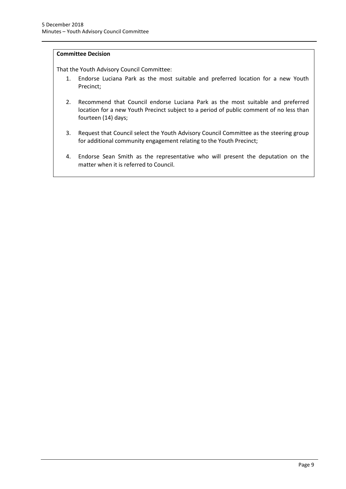# **Committee Decision**

That the Youth Advisory Council Committee:

- 1. Endorse Luciana Park as the most suitable and preferred location for a new Youth Precinct;
- 2. Recommend that Council endorse Luciana Park as the most suitable and preferred location for a new Youth Precinct subject to a period of public comment of no less than fourteen (14) days;
- 3. Request that Council select the Youth Advisory Council Committee as the steering group for additional community engagement relating to the Youth Precinct;
- 4. Endorse Sean Smith as the representative who will present the deputation on the matter when it is referred to Council.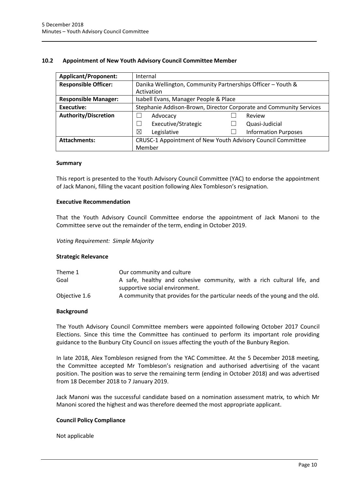# <span id="page-11-0"></span>**10.2 Appointment of New Youth Advisory Council Committee Member**

| <b>Applicant/Proponent:</b> | Internal                                                           |  |  |
|-----------------------------|--------------------------------------------------------------------|--|--|
| <b>Responsible Officer:</b> | Danika Wellington, Community Partnerships Officer - Youth &        |  |  |
|                             | Activation                                                         |  |  |
| <b>Responsible Manager:</b> | Isabell Evans, Manager People & Place                              |  |  |
| Executive:                  | Stephanie Addison-Brown, Director Corporate and Community Services |  |  |
| <b>Authority/Discretion</b> | Advocacy<br>Review                                                 |  |  |
|                             | Executive/Strategic<br>Quasi-Judicial                              |  |  |
|                             | $\boxtimes$<br>Legislative<br><b>Information Purposes</b>          |  |  |
| <b>Attachments:</b>         | CRUSC-1 Appointment of New Youth Advisory Council Committee        |  |  |
|                             | Member                                                             |  |  |

#### **Summary**

This report is presented to the Youth Advisory Council Committee (YAC) to endorse the appointment of Jack Manoni, filling the vacant position following Alex Tombleson's resignation.

#### **Executive Recommendation**

That the Youth Advisory Council Committee endorse the appointment of Jack Manoni to the Committee serve out the remainder of the term, ending in October 2019.

*Voting Requirement: Simple Majority* 

#### **Strategic Relevance**

| Theme 1       | Our community and culture                                                    |
|---------------|------------------------------------------------------------------------------|
| Goal          | A safe, healthy and cohesive community, with a rich cultural life, and       |
|               | supportive social environment.                                               |
| Objective 1.6 | A community that provides for the particular needs of the young and the old. |

#### **Background**

The Youth Advisory Council Committee members were appointed following October 2017 Council Elections. Since this time the Committee has continued to perform its important role providing guidance to the Bunbury City Council on issues affecting the youth of the Bunbury Region.

In late 2018, Alex Tombleson resigned from the YAC Committee. At the 5 December 2018 meeting, the Committee accepted Mr Tombleson's resignation and authorised advertising of the vacant position. The position was to serve the remaining term (ending in October 2018) and was advertised from 18 December 2018 to 7 January 2019.

Jack Manoni was the successful candidate based on a nomination assessment matrix, to which Mr Manoni scored the highest and was therefore deemed the most appropriate applicant.

#### **Council Policy Compliance**

Not applicable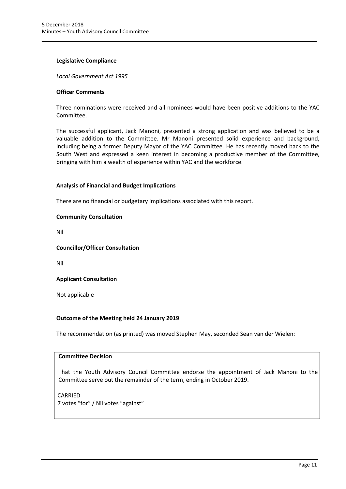#### **Legislative Compliance**

*Local Government Act 1995*

#### **Officer Comments**

Three nominations were received and all nominees would have been positive additions to the YAC Committee.

The successful applicant, Jack Manoni, presented a strong application and was believed to be a valuable addition to the Committee. Mr Manoni presented solid experience and background, including being a former Deputy Mayor of the YAC Committee. He has recently moved back to the South West and expressed a keen interest in becoming a productive member of the Committee, bringing with him a wealth of experience within YAC and the workforce.

# **Analysis of Financial and Budget Implications**

There are no financial or budgetary implications associated with this report.

# **Community Consultation**

Nil

# **Councillor/Officer Consultation**

Nil

# **Applicant Consultation**

Not applicable

# **Outcome of the Meeting held 24 January 2019**

The recommendation (as printed) was moved Stephen May, seconded Sean van der Wielen:

# **Committee Decision**

That the Youth Advisory Council Committee endorse the appointment of Jack Manoni to the Committee serve out the remainder of the term, ending in October 2019.

CARRIED 7 votes "for" / Nil votes "against"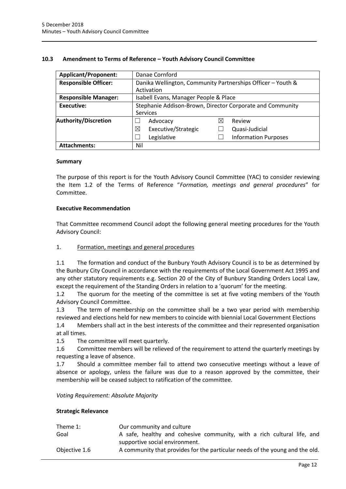#### <span id="page-13-0"></span>**10.3 Amendment to Terms of Reference – Youth Advisory Council Committee**

| <b>Applicant/Proponent:</b>                                          | Danae Cornford                                              |  |  |
|----------------------------------------------------------------------|-------------------------------------------------------------|--|--|
| <b>Responsible Officer:</b>                                          | Danika Wellington, Community Partnerships Officer - Youth & |  |  |
|                                                                      | Activation                                                  |  |  |
| <b>Responsible Manager:</b><br>Isabell Evans, Manager People & Place |                                                             |  |  |
| Executive:                                                           | Stephanie Addison-Brown, Director Corporate and Community   |  |  |
|                                                                      | <b>Services</b>                                             |  |  |
| Authority/Discretion                                                 | Review<br>Advocacy<br>⋉                                     |  |  |
|                                                                      | Executive/Strategic<br>⊠<br>Quasi-Judicial                  |  |  |
|                                                                      | <b>Information Purposes</b><br>Legislative                  |  |  |
| <b>Attachments:</b>                                                  | Nil                                                         |  |  |

#### **Summary**

The purpose of this report is for the Youth Advisory Council Committee (YAC) to consider reviewing the Item 1.2 of the Terms of Reference "*Formation, meetings and general procedures*" for Committee.

#### **Executive Recommendation**

That Committee recommend Council adopt the following general meeting procedures for the Youth Advisory Council:

#### 1. Formation, meetings and general procedures

1.1 The formation and conduct of the Bunbury Youth Advisory Council is to be as determined by the Bunbury City Council in accordance with the requirements of the Local Government Act 1995 and any other statutory requirements e.g. Section 20 of the City of Bunbury Standing Orders Local Law, except the requirement of the Standing Orders in relation to a 'quorum' for the meeting.

1.2 The quorum for the meeting of the committee is set at five voting members of the Youth Advisory Council Committee.

1.3 The term of membership on the committee shall be a two year period with membership reviewed and elections held for new members to coincide with biennial Local Government Elections

1.4 Members shall act in the best interests of the committee and their represented organisation at all times.

1.5 The committee will meet quarterly.

1.6 Committee members will be relieved of the requirement to attend the quarterly meetings by requesting a leave of absence.

1.7 Should a committee member fail to attend two consecutive meetings without a leave of absence or apology, unless the failure was due to a reason approved by the committee, their membership will be ceased subject to ratification of the committee.

*Voting Requirement: Absolute Majority* 

#### **Strategic Relevance**

| Theme 1:      | Our community and culture                                                    |
|---------------|------------------------------------------------------------------------------|
| Goal          | A safe, healthy and cohesive community, with a rich cultural life, and       |
|               | supportive social environment.                                               |
| Objective 1.6 | A community that provides for the particular needs of the young and the old. |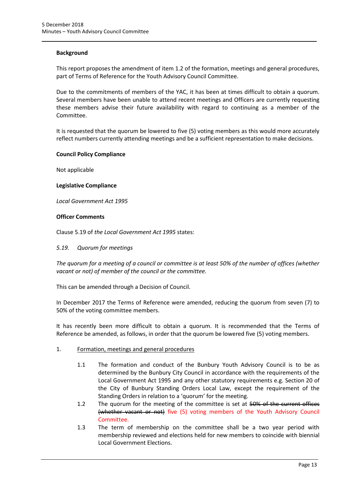#### **Background**

This report proposes the amendment of item 1.2 of the formation, meetings and general procedures, part of Terms of Reference for the Youth Advisory Council Committee.

Due to the commitments of members of the YAC, it has been at times difficult to obtain a quorum. Several members have been unable to attend recent meetings and Officers are currently requesting these members advise their future availability with regard to continuing as a member of the Committee.

It is requested that the quorum be lowered to five (5) voting members as this would more accurately reflect numbers currently attending meetings and be a sufficient representation to make decisions.

#### **Council Policy Compliance**

Not applicable

#### **Legislative Compliance**

*Local Government Act 1995*

#### **Officer Comments**

Clause 5.19 of *the Local Government Act 1995* states:

#### *5.19. Quorum for meetings*

*The quorum for a meeting of a council or committee is at least 50% of the number of offices (whether vacant or not) of member of the council or the committee.* 

This can be amended through a Decision of Council.

In December 2017 the Terms of Reference were amended, reducing the quorum from seven (7) to 50% of the voting committee members.

It has recently been more difficult to obtain a quorum. It is recommended that the Terms of Reference be amended, as follows, in order that the quorum be lowered five (5) voting members.

#### 1. Formation, meetings and general procedures

- 1.1 The formation and conduct of the Bunbury Youth Advisory Council is to be as determined by the Bunbury City Council in accordance with the requirements of the Local Government Act 1995 and any other statutory requirements e.g. Section 20 of the City of Bunbury Standing Orders Local Law, except the requirement of the Standing Orders in relation to a 'quorum' for the meeting.
- 1.2 The quorum for the meeting of the committee is set at 50% of the current offices (whether vacant or not) five (5) voting members of the Youth Advisory Council Committee.
- 1.3 The term of membership on the committee shall be a two year period with membership reviewed and elections held for new members to coincide with biennial Local Government Elections.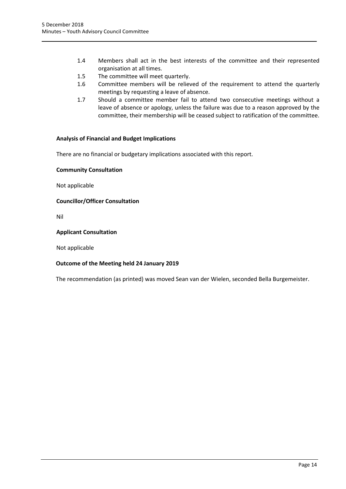- 1.4 Members shall act in the best interests of the committee and their represented organisation at all times.
- 1.5 The committee will meet quarterly.
- 1.6 Committee members will be relieved of the requirement to attend the quarterly meetings by requesting a leave of absence.
- 1.7 Should a committee member fail to attend two consecutive meetings without a leave of absence or apology, unless the failure was due to a reason approved by the committee, their membership will be ceased subject to ratification of the committee.

#### **Analysis of Financial and Budget Implications**

There are no financial or budgetary implications associated with this report.

#### **Community Consultation**

Not applicable

**Councillor/Officer Consultation**

Nil

#### **Applicant Consultation**

Not applicable

#### **Outcome of the Meeting held 24 January 2019**

The recommendation (as printed) was moved Sean van der Wielen, seconded Bella Burgemeister.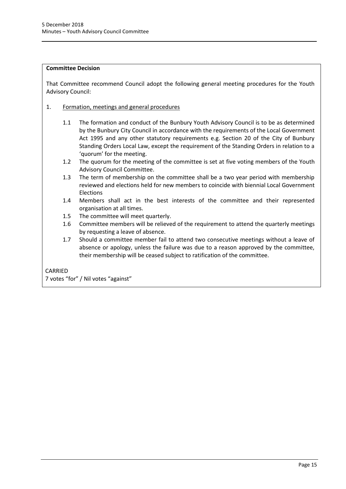#### **Committee Decision**

That Committee recommend Council adopt the following general meeting procedures for the Youth Advisory Council:

- 1. Formation, meetings and general procedures
	- 1.1 The formation and conduct of the Bunbury Youth Advisory Council is to be as determined by the Bunbury City Council in accordance with the requirements of the Local Government Act 1995 and any other statutory requirements e.g. Section 20 of the City of Bunbury Standing Orders Local Law, except the requirement of the Standing Orders in relation to a 'quorum' for the meeting.
	- 1.2 The quorum for the meeting of the committee is set at five voting members of the Youth Advisory Council Committee.
	- 1.3 The term of membership on the committee shall be a two year period with membership reviewed and elections held for new members to coincide with biennial Local Government Elections
	- 1.4 Members shall act in the best interests of the committee and their represented organisation at all times.
	- 1.5 The committee will meet quarterly.
	- 1.6 Committee members will be relieved of the requirement to attend the quarterly meetings by requesting a leave of absence.
	- 1.7 Should a committee member fail to attend two consecutive meetings without a leave of absence or apology, unless the failure was due to a reason approved by the committee, their membership will be ceased subject to ratification of the committee.

# CARRIED

7 votes "for" / Nil votes "against"